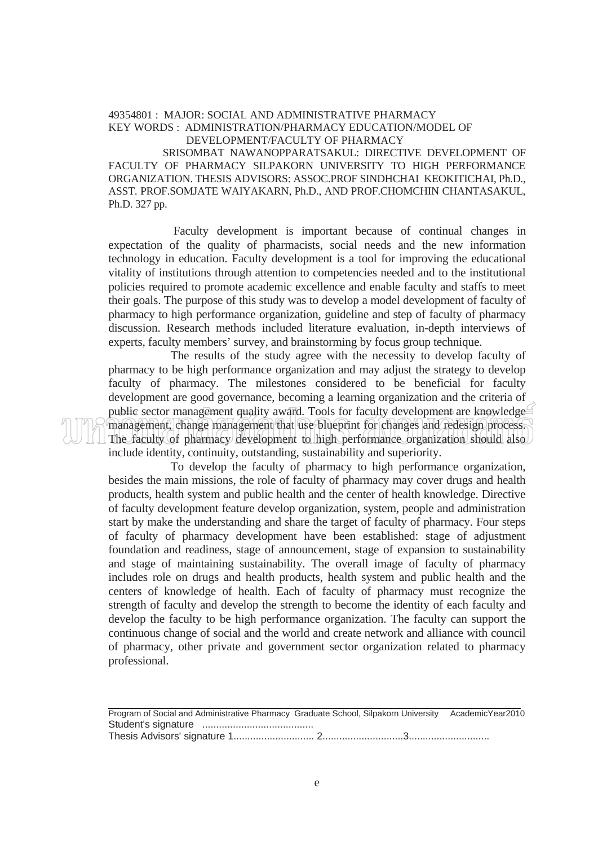## 49354801 : MAJOR: SOCIAL AND ADMINISTRATIVE PHARMACY KEY WORDS : ADMINISTRATION/PHARMACY EDUCATION/MODEL OF DEVELOPMENT/FACULTY OF PHARMACY

 SRISOMBAT NAWANOPPARATSAKUL: DIRECTIVE DEVELOPMENT OF FACULTY OF PHARMACY SILPAKORN UNIVERSITY TO HIGH PERFORMANCE ORGANIZATION. THESIS ADVISORS: ASSOC.PROF SINDHCHAI KEOKITICHAI, Ph.D., ASST. PROF.SOMJATE WAIYAKARN, Ph.D., AND PROF.CHOMCHIN CHANTASAKUL, Ph.D. 327 pp.

 Faculty development is important because of continual changes in expectation of the quality of pharmacists, social needs and the new information technology in education. Faculty development is a tool for improving the educational vitality of institutions through attention to competencies needed and to the institutional policies required to promote academic excellence and enable faculty and staffs to meet their goals. The purpose of this study was to develop a model development of faculty of pharmacy to high performance organization, guideline and step of faculty of pharmacy discussion. Research methods included literature evaluation, in-depth interviews of experts, faculty members' survey, and brainstorming by focus group technique.

 The results of the study agree with the necessity to develop faculty of pharmacy to be high performance organization and may adjust the strategy to develop faculty of pharmacy. The milestones considered to be beneficial for faculty development are good governance, becoming a learning organization and the criteria of public sector management quality award. Tools for faculty development are knowledge management, change management that use blueprint for changes and redesign process. The faculty of pharmacy development to high performance organization should also include identity, continuity, outstanding, sustainability and superiority.

 To develop the faculty of pharmacy to high performance organization, besides the main missions, the role of faculty of pharmacy may cover drugs and health products, health system and public health and the center of health knowledge. Directive of faculty development feature develop organization, system, people and administration start by make the understanding and share the target of faculty of pharmacy. Four steps of faculty of pharmacy development have been established: stage of adjustment foundation and readiness, stage of announcement, stage of expansion to sustainability and stage of maintaining sustainability. The overall image of faculty of pharmacy includes role on drugs and health products, health system and public health and the centers of knowledge of health. Each of faculty of pharmacy must recognize the strength of faculty and develop the strength to become the identity of each faculty and develop the faculty to be high performance organization. The faculty can support the continuous change of social and the world and create network and alliance with council of pharmacy, other private and government sector organization related to pharmacy professional.

| Program of Social and Administrative Pharmacy Graduate School, Silpakorn University AcademicYear2010 |  |
|------------------------------------------------------------------------------------------------------|--|
|                                                                                                      |  |
|                                                                                                      |  |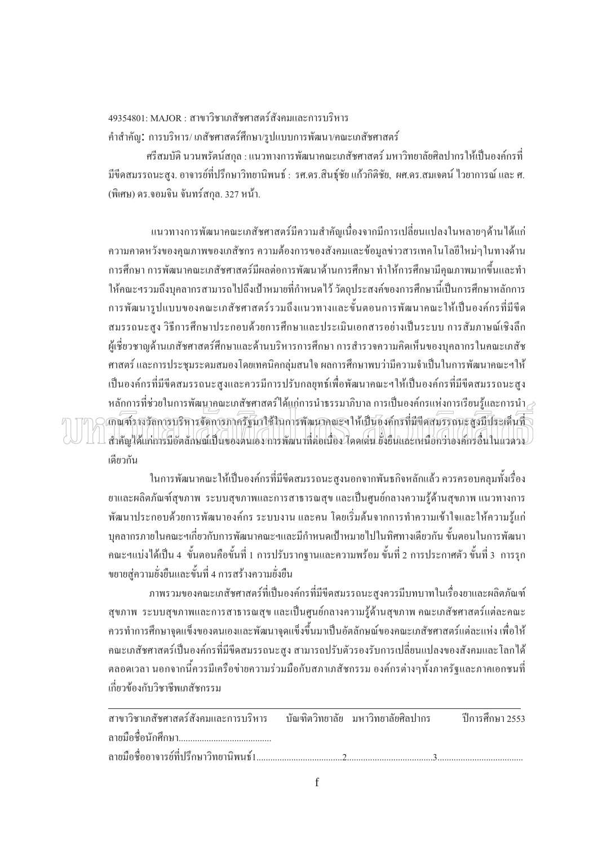19354801: MAJOR : สาขาวิชาเภสัชศาสตร์สังคมและการบริหาร คำสำคัญ: การบริหาร/ เภสัชศาสตร์ศึกษา/รูปแบบการพัฒนา/คณะเภสัชศาสตร์

ศรีสมบัติ นวนพรัตน์สกุล : แนวทางการพัฒนาคณะเภสัชศาสตร์ มหาวิทยาลัยศิลปากรให้เป็นองค์กรที่ ้มีขีดสมรรถนะสูง, อาจารย์ที่ปรึกษาวิทยานิพนธ์ : รศ.คร.สินธุ์ชัย แก้วกิติชัย, ผศ.คร.สมเจตน์ ไวยาการณ์ และ ศ. (พิเศษ) คร.จอมจิน จันทร์สกล. 327 หน้า.

่ แนวทางการพัฒนาคณะเภสัชศาสตร์มีความสำคัญเนื่องจากมีการเปลี่ยนแปลงในหลายๆด้านใด้แก่ ื ความคาดหวังของคุณภาพของเภสัชกร ความต้องการของสังคมและข้อมูลข่าวสารเทคโนโลยีใหม่ๆในทางด้าน การศึกษา การพัฒนาคณะเภสัชศาสตร์มีผลต่อการพัฒนาด้านการศึกษา ทำให้การศึกษามีคุณภาพมากขึ้นและทำ ¹Ê ให้คณะฯรวมถึงบุคลากรสามารถไปถึงเป้าหมายที่กำหนดไว้ วัตถุประสงค์ของการศึกษานี้เป็นการศึกษาหลักการ การพัฒนารูปแบบของคณะเภสัชศาสตร์รวมถึงแนวทางและขั้นตอนการพัฒนาคณะให้เป็นองค์กรที่มีขีด ´Ê | สมรรถนะสูง วิธีการศึกษาประกอบด้วยการศึกษาและประเมินเอกสารอย่างเป็นระบบ การสัมภาษณ์เชิงลึก ผู้เชี่ยวชาญค้านเภสัชศาสตร์ศึกษาและค้านบริหารการศึกษา การสำรวจความคิดเห็นของบุคลากรในคณะเภสัช ∫ ศาสตร์ และการประชุมระคมสมองโคยเทคนิคกลุ่มสนใจ ผลการศึกษาพบว่ามีความจำเป็นในการพัฒนาคณะฯให้ เป็นองค์กรที่มีขีดสมรรถนะสูงและควรมีการปรับกลยุทธ์เพื่อพัฒนาคณะฯให้เป็นองค์กรที่มีขีดสมรรถนะสูง  $\,$ หลักการที่ช่วยในการพัฒนาคณะเภสัชศาสตร์ได้แก่การนำธรรมาภิบาล การเป็นองค์กรแห่งการเรียนรู้และการนำ $\geq$  $\widehat{\mathfrak{Im}}$ ณฑ์รางวัลการบริหารจัดการภาครัฐมาใช้ในการพัฒนาคณะฯ ให้เป็นองค์กรที่มีขีดสมรรถนะสูงมีประเด็นที่ $\setminus$ ¸É สำคัญ'ได้แก่การมีอัตลักษณ์เป็นของตนเอง การพัฒนาที่ต่อเนื่อง ไดดเด่น ยังยืนและเหนือกว่าองค์กรอื่นในแวดวง เดียวกัน

ในการพัฒนาคณะให้เป็นองค์กรที่มีขีดสมรรถนะสูงนอกจากพันธกิจหลักแล้ว ควรครอบคลุมทั้งเรื่อง ´Ê ºÉ ยาและผลิตภัณฑ์สุขภาพ ระบบสุขภาพและการสาธารณสุข และเป็นศูนย์กลางความรู้ด้านสุขภาพ แนวทางการ พัฒนาประกอบด้วยการพัฒนาองค์กร ระบบงาน และคน โดยเริ่มต้นจากการทำความเข้าใจและให้ความรู้แก่ บุคลากรภายในคณะฯเกี่ยวกับการพัฒนาคณะฯและมีกำหนดเป้าหมายใปในทิศทางเดียวกัน ขั้นตอนในการพัฒนา คณะฯแบ่งได้เป็น 4 ขั้นตอนคือขั้นที่ 1 การปรับรากฐานและความพร้อม ขั้นที่ 2 การประกาศตัว ขั้นที่ 3 การรุก ´Ê ขยายสู่ความยั่งยืนและขั้นที่ 4 การสร้างความยั่งยืน ´É .<br>.<br>. ´

ภาพรวมของคณะเภสัชศาสตร์ที่เป็นองค์กรที่มีขีดสมรรถนะสูงควรมีบทบาทในเรื่องยาและผลิตภัณฑ์ ้ สุขภาพ ระบบสุขภาพและการสาธารณสุข และเป็นศูนย์กลางความรู้ด้านสุขภาพ คณะเภสัชศาสตร์แต่ละคณะ ควรทำการศึกษาจุดแข็งของตนเองและพัฒนาจุดแข็งขึ้นมาเป็นอัตลักษณ์ของคณะเภสัชศาสตร์แต่ละแห่ง เพื่อให้ ้ คณะเภสัชศาสตร์เป็นองค์กรที่มีขีดสมรรถนะสูง สามารถปรับตัวรองรับการเปลี่ยนแปลงของสังคมและ โลก ได้ ตลอดเวลา นอกจากนี้ควรมีเครือข่ายความร่วมมือกับสภาเภสัชกรรม องค์กรต่างๆทั้งภาครัฐและภาคเอกชนที่ 。 ´Ê เกี่ยวข้องกับวิชาชีพเภสัชกรรม ∫

่<br>สาขาวิชาเกสัชศาสตร์สังคมและการบริหาร บัณฑิตวิทยาลัย มหาวิทยาลัยศิลปากร ปีการศึกษา 2553 ¨µ¥¤º° °´«¹¬µ........................................ ºÉ ¨µ¥¤º° °°µµ¦¥r¸É¦¹¬µª·¥µ·¡r1.....................................2.....................................3..................................... ºÉ